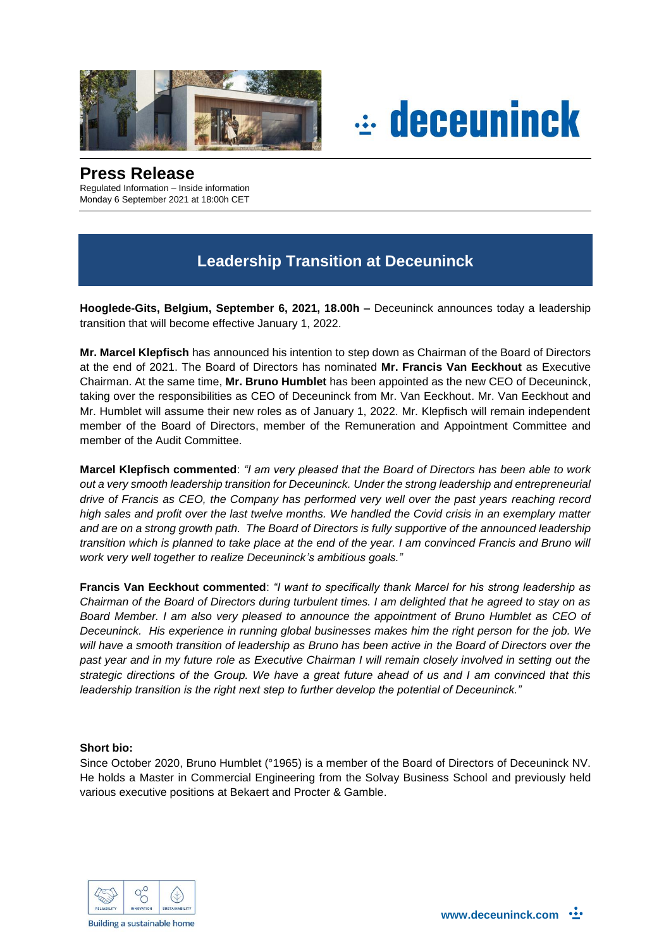



## **Press Release**

Regulated Information – Inside information Monday 6 September 2021 at 18:00h CET

# **Leadership Transition at Deceuninck**

**Hooglede-Gits, Belgium, September 6, 2021, 18.00h –** Deceuninck announces today a leadership transition that will become effective January 1, 2022.

**Mr. Marcel Klepfisch** has announced his intention to step down as Chairman of the Board of Directors at the end of 2021. The Board of Directors has nominated **Mr. Francis Van Eeckhout** as Executive Chairman. At the same time, **Mr. Bruno Humblet** has been appointed as the new CEO of Deceuninck, taking over the responsibilities as CEO of Deceuninck from Mr. Van Eeckhout. Mr. Van Eeckhout and Mr. Humblet will assume their new roles as of January 1, 2022. Mr. Klepfisch will remain independent member of the Board of Directors, member of the Remuneration and Appointment Committee and member of the Audit Committee.

**Marcel Klepfisch commented**: *"I am very pleased that the Board of Directors has been able to work out a very smooth leadership transition for Deceuninck. Under the strong leadership and entrepreneurial drive of Francis as CEO, the Company has performed very well over the past years reaching record high sales and profit over the last twelve months. We handled the Covid crisis in an exemplary matter and are on a strong growth path. The Board of Directors is fully supportive of the announced leadership transition which is planned to take place at the end of the year. I am convinced Francis and Bruno will work very well together to realize Deceuninck's ambitious goals."*

**Francis Van Eeckhout commented**: *"I want to specifically thank Marcel for his strong leadership as Chairman of the Board of Directors during turbulent times. I am delighted that he agreed to stay on as Board Member. I am also very pleased to announce the appointment of Bruno Humblet as CEO of Deceuninck. His experience in running global businesses makes him the right person for the job. We will have a smooth transition of leadership as Bruno has been active in the Board of Directors over the past year and in my future role as Executive Chairman I will remain closely involved in setting out the strategic directions of the Group. We have a great future ahead of us and I am convinced that this leadership transition is the right next step to further develop the potential of Deceuninck."*

### **Short bio:**

Since October 2020, Bruno Humblet (°1965) is a member of the Board of Directors of Deceuninck NV. He holds a Master in Commercial Engineering from the Solvay Business School and previously held various executive positions at Bekaert and Procter & Gamble.